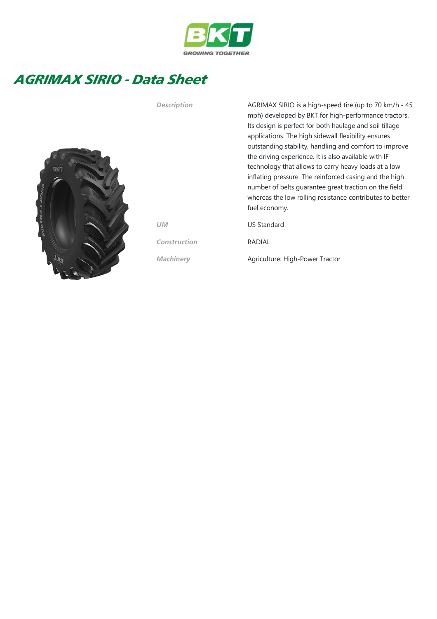

## AGRIMAX SIRIO - Data Sheet



Its design is perfect for both haulage and soil tillage applications. The high sidewall flexibility ensures outstanding stability, handling and comfort to improve the driving experience. It is also available with IF technology that allows to carry heavy loads at a low inflating pressure. The reinforced casing and the high number of belts guarantee great traction on the field whereas the low rolling resistance contributes to better fuel economy. UM US Standard Construction RADIAL Machinery **Agriculture: High-Power Tractor** 

Description AGRIMAX SIRIO is a high-speed tire (up to 70 km/h - 45

mph) developed by BKT for high-performance tractors.